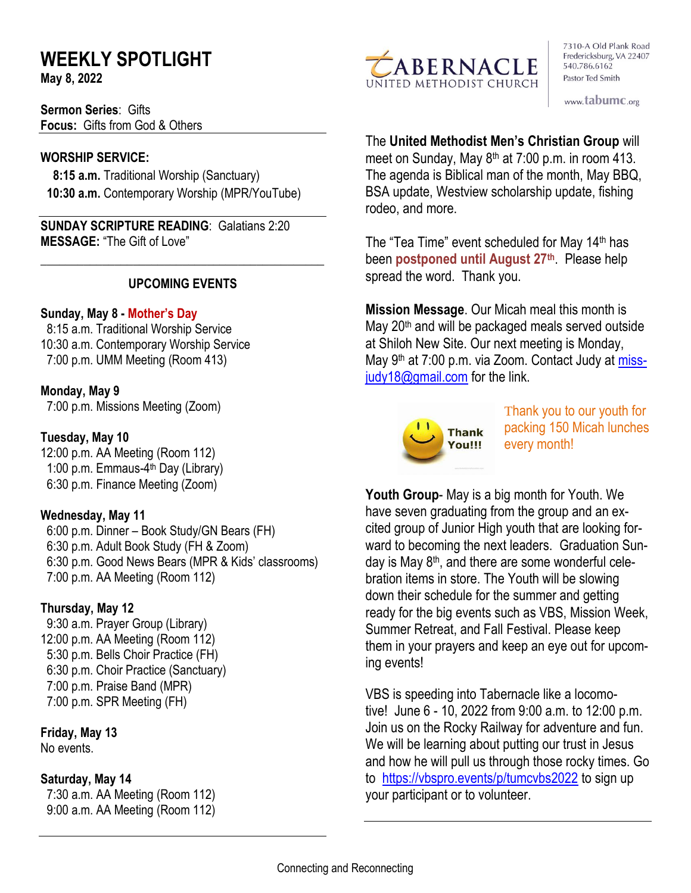# **WEEKLY SPOTLIGHT**

**May 8, 2022** 

**Sermon Series**: Gifts **Focus:** Gifts from God & Others

### **WORSHIP SERVICE:**

 **8:15 a.m.** Traditional Worship (Sanctuary)  **10:30 a.m.** Contemporary Worship (MPR/YouTube)

**SUNDAY SCRIPTURE READING**: Galatians 2:20 **MESSAGE:** "The Gift of Love"

### **UPCOMING EVENTS**

\_\_\_\_\_\_\_\_\_\_\_\_\_\_\_\_\_\_\_\_\_\_\_\_\_\_\_\_\_\_\_\_\_\_\_\_\_\_\_\_\_\_\_\_\_\_

### **Sunday, May 8 - Mother's Day**

8:15 a.m. Traditional Worship Service 10:30 a.m. Contemporary Worship Service 7:00 p.m. UMM Meeting (Room 413)

### **Monday, May 9**

7:00 p.m. Missions Meeting (Zoom)

### **Tuesday, May 10**

12:00 p.m. AA Meeting (Room 112) 1:00 p.m. Emmaus-4<sup>th</sup> Day (Library) 6:30 p.m. Finance Meeting (Zoom)

### **Wednesday, May 11**

 6:00 p.m. Dinner – Book Study/GN Bears (FH) 6:30 p.m. Adult Book Study (FH & Zoom) 6:30 p.m. Good News Bears (MPR & Kids' classrooms) 7:00 p.m. AA Meeting (Room 112)

### **Thursday, May 12**

9:30 a.m. Prayer Group (Library) 12:00 p.m. AA Meeting (Room 112) 5:30 p.m. Bells Choir Practice (FH) 6:30 p.m. Choir Practice (Sanctuary) 7:00 p.m. Praise Band (MPR) 7:00 p.m. SPR Meeting (FH)

## **Friday, May 13**

No events.

### **Saturday, May 14**

 7:30 a.m. AA Meeting (Room 112) 9:00 a.m. AA Meeting (Room 112)



7310-A Old Plank Road Fredericksburg, VA 22407 540.786.6162 Pastor Ted Smith

www.tabumc.org

### The **United Methodist Men's Christian Group** will

meet on Sunday, May 8<sup>th</sup> at 7:00 p.m. in room 413. The agenda is Biblical man of the month, May BBQ, BSA update, Westview scholarship update, fishing rodeo, and more.

The "Tea Time" event scheduled for May 14th has been **postponed until August 27th**. Please help spread the word. Thank you.

**Mission Message**. Our Micah meal this month is May 20<sup>th</sup> and will be packaged meals served outside at Shiloh New Site. Our next meeting is Monday, May 9<sup>th</sup> at 7:00 p.m. via Zoom. Contact Judy at [miss](mailto:missjudy18@gmail.com)[judy18@gmail.com](mailto:missjudy18@gmail.com) for the link.



Thank you to our youth for packing 150 Micah lunches every month!

**Youth Group**- May is a big month for Youth. We have seven graduating from the group and an excited group of Junior High youth that are looking forward to becoming the next leaders. Graduation Sunday is May 8<sup>th</sup>, and there are some wonderful celebration items in store. The Youth will be slowing down their schedule for the summer and getting ready for the big events such as VBS, Mission Week, Summer Retreat, and Fall Festival. Please keep them in your prayers and keep an eye out for upcoming events!

VBS is speeding into Tabernacle like a locomotive! June 6 - 10, 2022 from 9:00 a.m. to 12:00 p.m. Join us on the Rocky Railway for adventure and fun. We will be learning about putting our trust in Jesus and how he will pull us through those rocky times. Go to <https://vbspro.events/p/tumcvbs2022> to sign up your participant or to volunteer.